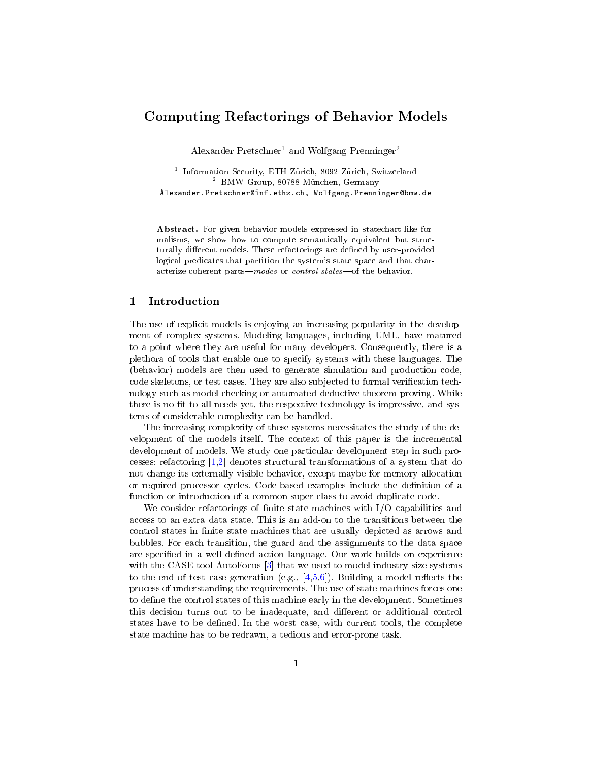# Computing Refactorings of Behavior Models

Alexander Pretschner<sup>1</sup> and Wolfgang Prenninger<sup>2</sup>

<sup>1</sup> Information Security, ETH Zürich, 8092 Zürich, Switzerland  $2$  BMW Group, 80788 München, Germany Alexander.Pretschner@inf.ethz.ch, Wolfgang.Prenninger@bmw.de

Abstract. For given behavior models expressed in statechart-like formalisms, we show how to compute semantically equivalent but structurally different models. These refactorings are defined by user-provided logical predicates that partition the system's state space and that characterize coherent parts—modes or control states—of the behavior.

# <span id="page-0-0"></span>1 Introduction

The use of explicit models is enjoying an increasing popularity in the development of complex systems. Modeling languages, including UML, have matured to a point where they are useful for many developers. Consequently, there is a plethora of tools that enable one to specify systems with these languages. The (behavior) models are then used to generate simulation and production code, code skeletons, or test cases. They are also subjected to formal verification technology such as model checking or automated deductive theorem proving. While there is no fit to all needs yet, the respective technology is impressive, and systems of considerable complexity can be handled.

The increasing complexity of these systems necessitates the study of the development of the models itself. The context of this paper is the incremental development of models. We study one particular development step in such processes: refactoring [\[1](#page-13-0)[,2\]](#page-13-1) denotes structural transformations of a system that do not change its externally visible behavior, except maybe for memory allocation or required processor cycles. Code-based examples include the definition of a function or introduction of a common super class to avoid duplicate code.

We consider refactorings of finite state machines with  $I/O$  capabilities and access to an extra data state. This is an add-on to the transitions between the control states in finite state machines that are usually depicted as arrows and bubbles. For each transition, the guard and the assignments to the data space are specified in a well-defined action language. Our work builds on experience with the CASE tool AutoFocus [\[3\]](#page-13-2) that we used to model industry-size systems to the end of test case generation (e.g.,  $[4,5,6]$  $[4,5,6]$  $[4,5,6]$ ). Building a model reflects the process of understanding the requirements. The use of state machines forces one to define the control states of this machine early in the development. Sometimes this decision turns out to be inadequate, and different or additional control states have to be defined. In the worst case, with current tools, the complete state machine has to be redrawn, a tedious and error-prone task.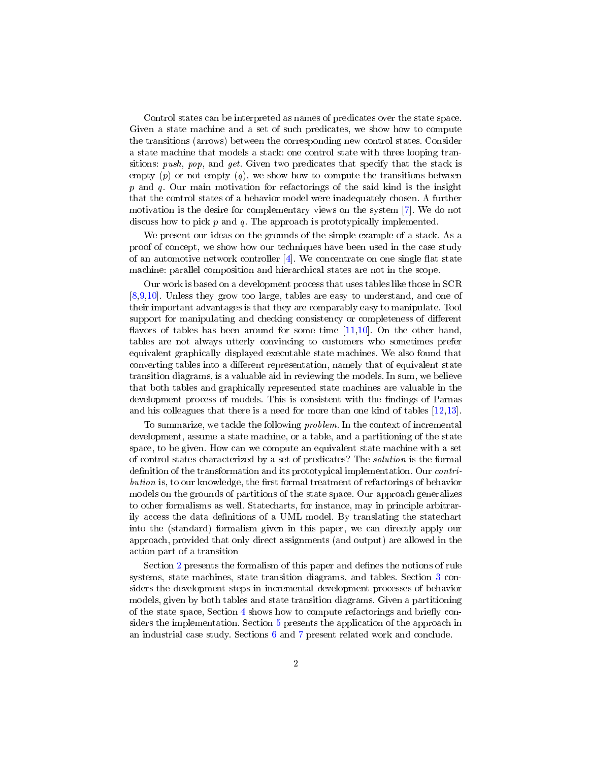Control states can be interpreted as names of predicates over the state space. Given a state machine and a set of such predicates, we show how to compute the transitions (arrows) between the corresponding new control states. Consider a state machine that models a stack: one control state with three looping transitions: *push, pop,* and *get.* Given two predicates that specify that the stack is empty  $(p)$  or not empty  $(q)$ , we show how to compute the transitions between p and q. Our main motivation for refactorings of the said kind is the insight that the control states of a behavior model were inadequately chosen. A further motivation is the desire for complementary views on the system [\[7\]](#page-13-6). We do not discuss how to pick  $p$  and  $q$ . The approach is prototypically implemented.

We present our ideas on the grounds of the simple example of a stack. As a proof of concept, we show how our techniques have been used in the case study of an automotive network controller  $[4]$ . We concentrate on one single flat state machine: parallel composition and hierarchical states are not in the scope.

Our work is based on a development process that uses tables like those in SCR [\[8,](#page-13-7)[9](#page-13-8)[,10\]](#page-13-9). Unless they grow too large, tables are easy to understand, and one of their important advantages is that they are comparably easy to manipulate. Tool support for manipulating and checking consistency or completeness of different flavors of tables has been around for some time  $[11,10]$  $[11,10]$ . On the other hand, tables are not always utterly convincing to customers who sometimes prefer equivalent graphically displayed executable state machines. We also found that converting tables into a different representation, namely that of equivalent state transition diagrams, is a valuable aid in reviewing the models. In sum, we believe that both tables and graphically represented state machines are valuable in the development process of models. This is consistent with the findings of Parnas and his colleagues that there is a need for more than one kind of tables [\[12,](#page-13-11)[13\]](#page-13-12).

To summarize, we tackle the following problem. In the context of incremental development, assume a state machine, or a table, and a partitioning of the state space, to be given. How can we compute an equivalent state machine with a set of control states characterized by a set of predicates? The solution is the formal definition of the transformation and its prototypical implementation. Our contribution is, to our knowledge, the first formal treatment of refactorings of behavior models on the grounds of partitions of the state space. Our approach generalizes to other formalisms as well. Statecharts, for instance, may in principle arbitrarily access the data definitions of a UML model. By translating the statechart into the (standard) formalism given in this paper, we can directly apply our approach, provided that only direct assignments (and output) are allowed in the action part of a transition

Section [2](#page-2-0) presents the formalism of this paper and defines the notions of rule systems, state machines, state transition diagrams, and tables. Section [3](#page-4-0) considers the development steps in incremental development processes of behavior models, given by both tables and state transition diagrams. Given a partitioning of the state space, Section  $4$  shows how to compute refactorings and briefly considers the implementation. Section [5](#page-9-0) presents the application of the approach in an industrial case study. Sections [6](#page-11-0) and [7](#page-12-0) present related work and conclude.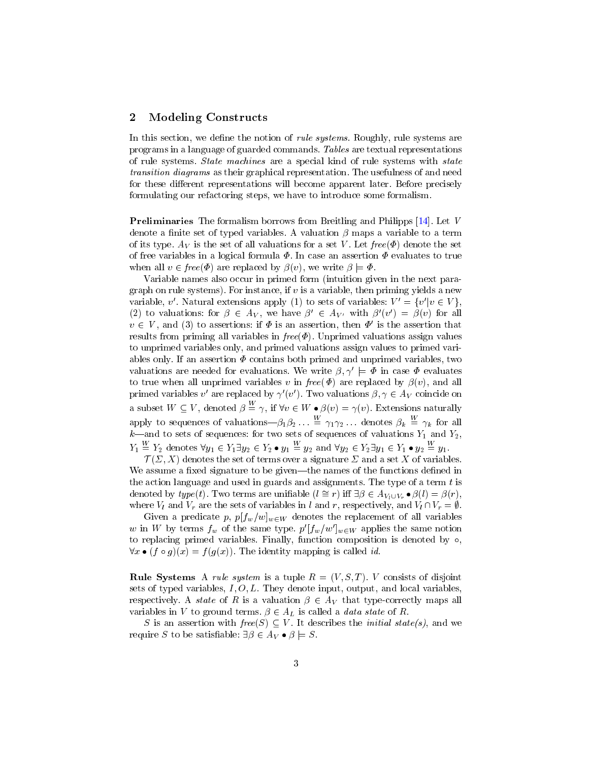#### <span id="page-2-0"></span>2 Modeling Constructs

In this section, we define the notion of *rule systems*. Roughly, rule systems are programs in a language of guarded commands. Tables are textual representations of rule systems. State machines are a special kind of rule systems with state transition diagrams as their graphical representation. The usefulness of and need for these different representations will become apparent later. Before precisely formulating our refactoring steps, we have to introduce some formalism.

Preliminaries The formalism borrows from Breitling and Philipps [\[14\]](#page-13-13). Let V denote a finite set of typed variables. A valuation  $\beta$  maps a variable to a term of its type.  $A_V$  is the set of all valuations for a set V. Let free  $(\Phi)$  denote the set of free variables in a logical formula  $\Phi$ . In case an assertion  $\Phi$  evaluates to true when all  $v \in free(\Phi)$  are replaced by  $\beta(v)$ , we write  $\beta \models \Phi$ .

Variable names also occur in primed form (intuition given in the next paragraph on rule systems). For instance, if  $v$  is a variable, then priming yields a new variable, v'. Natural extensions apply (1) to sets of variables:  $V' = \{v'|v \in V\},\$ (2) to valuations: for  $\beta \in A_V$ , we have  $\beta' \in A_{V'}$  with  $\beta'(v') = \beta(v)$  for all  $v \in V$ , and (3) to assertions: if  $\Phi$  is an assertion, then  $\Phi'$  is the assertion that results from priming all variables in  $free(\Phi)$ . Unprimed valuations assign values to unprimed variables only, and primed valuations assign values to primed variables only. If an assertion  $\Phi$  contains both primed and unprimed variables, two valuations are needed for evaluations. We write  $\beta, \gamma' \models \Phi$  in case  $\Phi$  evaluates to true when all unprimed variables v in  $free(\Phi)$  are replaced by  $\beta(v)$ , and all primed variables  $v'$  are replaced by  $\gamma'(v')$ . Two valuations  $\beta, \gamma \in A_V$  coincide on a subset  $W \subseteq V$ , denoted  $\beta \stackrel{W}{=} \gamma$ , if  $\forall v \in W \bullet \beta(v) = \gamma(v)$ . Extensions naturally apply to sequences of valuations— $\beta_1\beta_2\ldots$   $\stackrel{W}{=} \gamma_1\gamma_2\ldots$  denotes  $\beta_k$   $\stackrel{W}{=} \gamma_k$  for all k—and to sets of sequences: for two sets of sequences of valuations  $Y_1$  and  $Y_2$ ,  $Y_1 \stackrel{W}{=} Y_2$  denotes  $\forall y_1 \in Y_1 \exists y_2 \in Y_2 \bullet y_1 \stackrel{W}{=} y_2$  and  $\forall y_2 \in Y_2 \exists y_1 \in Y_1 \bullet y_2 \stackrel{W}{=} y_1$ .

 $\mathcal{T}(\Sigma, X)$  denotes the set of terms over a signature  $\Sigma$  and a set X of variables. We assume a fixed signature to be given—the names of the functions defined in the action language and used in guards and assignments. The type of a term  $t$  is denoted by  $type(t)$ . Two terms are unifiable  $(l \cong r)$  iff  $\exists \beta \in A_{V_1 \cup V_r} \bullet \beta(l) = \beta(r)$ , where  $V_l$  and  $V_r$  are the sets of variables in l and r, respectively, and  $V_l \cap V_r = \emptyset$ .

Given a predicate p,  $p[f_w/w]_{w\in W}$  denotes the replacement of all variables w in W by terms  $f_w$  of the same type.  $p'[f_w/w']_{w \in W}$  applies the same notion to replacing primed variables. Finally, function composition is denoted by  $\circ$ ,  $\forall x \bullet (f \circ g)(x) = f(g(x))$ . The identity mapping is called id.

**Rule Systems** A rule system is a tuple  $R = (V, S, T)$ . V consists of disjoint sets of typed variables,  $I, O, L$ . They denote input, output, and local variables. respectively. A *state* of R is a valuation  $\beta \in A_V$  that type-correctly maps all variables in V to ground terms.  $\beta \in A_L$  is called a *data state* of R.

S is an assertion with  $free(S) \subseteq V$ . It describes the *initial state(s)*, and we require S to be satisfiable:  $\exists \beta \in A_V \bullet \beta \models S$ .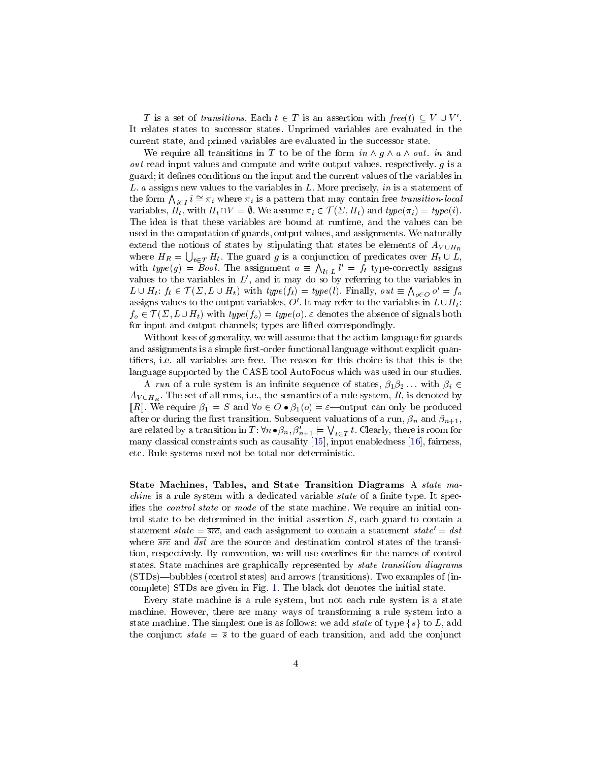T is a set of transitions. Each  $t \in T$  is an assertion with  $free(t) \subseteq V \cup V'$ . It relates states to successor states. Unprimed variables are evaluated in the current state, and primed variables are evaluated in the successor state.

We require all transitions in T to be of the form  $in \wedge g \wedge a \wedge out.$  in and out read input values and compute and write output values, respectively. *g* is a guard; it denes conditions on the input and the current values of the variables in L. a assigns new values to the variables in L. More precisely, in is a statement of the form  $\bigwedge_{i\in I} i \cong \pi_i$  where  $\pi_i$  is a pattern that may contain free transition-local variables,  $H_t$ , with  $H_t\cap V = \emptyset$ . We assume  $\pi_i \in \mathcal{T}(\Sigma, H_t)$  and  $type(\pi_i) = type(i)$ . The idea is that these variables are bound at runtime, and the values can be used in the computation of guards, output values, and assignments. We naturally extend the notions of states by stipulating that states be elements of  $A_{V \cup H_R}$ where  $H_R = \bigcup_{t \in T} H_t$ . The guard g is a conjunction of predicates over  $H_t \cup L$ , with  $type(g) = Bool$ . The assignment  $a \equiv \bigwedge_{l \in L} l' = f_l$  type-correctly assigns values to the variables in  $L'$ , and it may do so by referring to the variables in  $L \cup H_t$ :  $f_l \in \mathcal{T}(\Sigma, L \cup H_t)$  with  $type(f_l) = type(l)$ . Finally,  $out \equiv \bigwedge_{o \in O} o' = f_o$ assigns values to the output variables, O'. It may refer to the variables in  $L\cup H_t$ :  $f_o \in \mathcal{T}(\Sigma, L \cup H_t)$  with  $type(f_o) = type(o)$ .  $\varepsilon$  denotes the absence of signals both for input and output channels; types are lifted correspondingly.

Without loss of generality, we will assume that the action language for guards and assignments is a simple first-order functional language without explicit quantifiers, i.e. all variables are free. The reason for this choice is that this is the language supported by the CASE tool AutoFocus which was used in our studies.

A run of a rule system is an infinite sequence of states,  $\beta_1 \beta_2 \ldots$  with  $\beta_i \in$  $A_{V \cup H_R}$ . The set of all runs, i.e., the semantics of a rule system, R, is denoted by [R]. We require  $\beta_1 \models S$  and  $\forall o \in O \bullet \beta_1(o) = \varepsilon$ —output can only be produced after or during the first transition. Subsequent valuations of a run,  $\beta_n$  and  $\beta_{n+1}$ , are related by a transition in  $T: \forall n \bullet \beta_n, \beta'_{n+1} \models \bigvee_{t \in T} t$ . Clearly, there is room for many classical constraints such as causality  $[15]$ , input enabledness  $[16]$ , fairness, etc. Rule systems need not be total nor deterministic.

State Machines, Tables, and State Transition Diagrams A state ma*chine* is a rule system with a dedicated variable *state* of a finite type. It specifies the *control state* or *mode* of the state machine. We require an initial control state to be determined in the initial assertion S, each guard to contain a statement state  $=\overline{src}$ , and each assignment to contain a statement state' = dst where  $\overline{src}$  and dst are the source and destination control states of the transition, respectively. By convention, we will use overlines for the names of control states. State machines are graphically represented by state transition diagrams  $(STDs)$ —bubbles (control states) and arrows (transitions). Two examples of (incomplete) STDs are given in Fig. [1.](#page-4-1) The black dot denotes the initial state.

Every state machine is a rule system, but not each rule system is a state machine. However, there are many ways of transforming a rule system into a state machine. The simplest one is as follows: we add *state* of type  $\{\overline{s}\}\$ to L, add the conjunct state  $=\bar{s}$  to the guard of each transition, and add the conjunct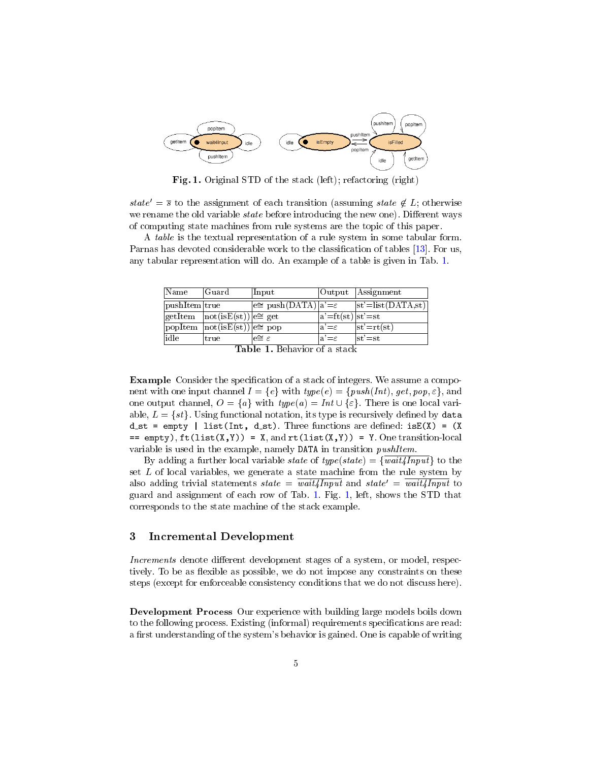

<span id="page-4-1"></span>Fig. 1. Original STD of the stack (left); refactoring (right)

state' =  $\overline{s}$  to the assignment of each transition (assuming state  $\notin L$ ; otherwise we rename the old variable *state* before introducing the new one). Different ways of computing state machines from rule systems are the topic of this paper.

A table is the textual representation of a rule system in some tabular form. Parnas has devoted considerable work to the classification of tables [\[13\]](#page-13-12). For us, any tabular representation will do. An example of a table is given in Tab. [1.](#page-4-1)

| Name                          | Guard                         | Input                                                                                                | Output                  | Assignment                          |  |  |  |
|-------------------------------|-------------------------------|------------------------------------------------------------------------------------------------------|-------------------------|-------------------------------------|--|--|--|
| $ {\rm pushItem} {\rm true} $ |                               | $\left \right  \in \cong \text{push}(\text{DATA})$ $\left \overline{\mathbf{a}'=\varepsilon}\right $ |                         | $ \mathrm{st'}=$ list $(DATA, st) $ |  |  |  |
| getItem                       | $ not(isE(st)) e \approx get$ |                                                                                                      | $ a' = ft(st) st' = st$ |                                     |  |  |  |
| $ {\rm popItem} $             | $ not(isE(st)) e \cong pop$   |                                                                                                      | $ a' = \varepsilon $    | $ st' = rt(st)$                     |  |  |  |
| lidle                         | true                          | $e \cong \varepsilon$                                                                                | $ a' = \varepsilon $    | $ st' = st $                        |  |  |  |
| muu mu 'e al                  |                               |                                                                                                      |                         |                                     |  |  |  |

<span id="page-4-2"></span>Table 1. Behavior of a stack

Example Consider the specification of a stack of integers. We assume a component with one input channel  $I = \{e\}$  with  $type(e) = \{push(Int), get, pop, \varepsilon\}$ , and one output channel,  $O = \{a\}$  with  $type(a) = Int \cup \{\varepsilon\}$ . There is one local variable,  $L = \{st\}$ . Using functional notation, its type is recursively defined by data d\_st = empty | list(Int, d\_st). Three functions are defined: is $E(X) = (X$  $=$  empty),  $ft(list(X, Y)) = X$ , and  $rt(list(X, Y)) = Y$ . One transition-local variable is used in the example, namely DATA in transition pushItem.

By adding a further local variable *state* of  $type(state) = \{wait \{Input\}$  to the set  $L$  of local variables, we generate a state machine from the rule system by also adding trivial statements state =  $\overline{wait/Input}$  and state' =  $\overline{wait/Input}$  to guard and assignment of each row of Tab. [1.](#page-4-2) Fig. [1,](#page-4-1) left, shows the STD that corresponds to the state machine of the stack example.

#### <span id="page-4-0"></span>3 Incremental Development

Increments denote different development stages of a system, or model, respectively. To be as flexible as possible, we do not impose any constraints on these steps (except for enforceable consistency conditions that we do not discuss here).

Development Process Our experience with building large models boils down to the following process. Existing (informal) requirements specifications are read: a first understanding of the system's behavior is gained. One is capable of writing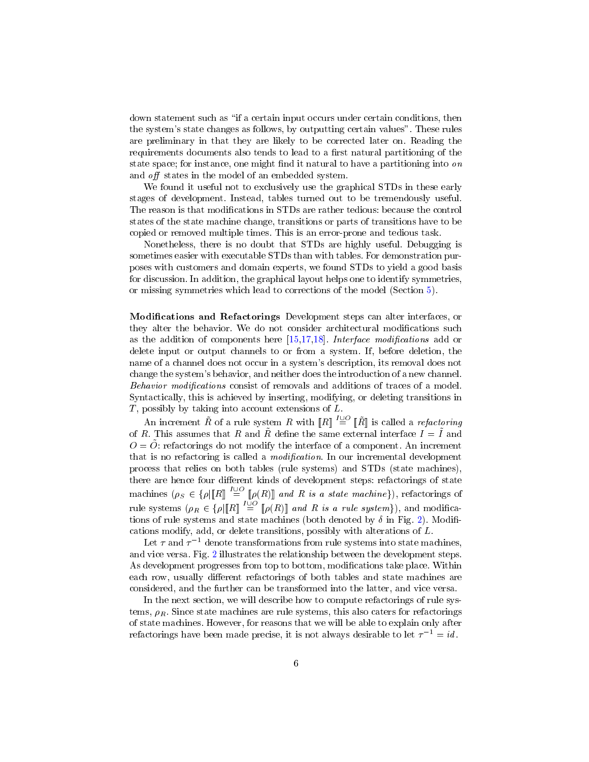down statement such as "if a certain input occurs under certain conditions, then the system's state changes as follows, by outputting certain values". These rules are preliminary in that they are likely to be corrected later on. Reading the requirements documents also tends to lead to a first natural partitioning of the state space; for instance, one might find it natural to have a partitioning into  $\omega n$ and  $\textit{off}$  states in the model of an embedded system.

We found it useful not to exclusively use the graphical STDs in these early stages of development. Instead, tables turned out to be tremendously useful. The reason is that modifications in STDs are rather tedious: because the control states of the state machine change, transitions or parts of transitions have to be copied or removed multiple times. This is an error-prone and tedious task.

Nonetheless, there is no doubt that STDs are highly useful. Debugging is sometimes easier with executable STDs than with tables. For demonstration purposes with customers and domain experts, we found STDs to yield a good basis for discussion. In addition, the graphical layout helps one to identify symmetries, or missing symmetries which lead to corrections of the model (Section [5\)](#page-9-0).

Modifications and Refactorings Development steps can alter interfaces, or they alter the behavior. We do not consider architectural modifications such as the addition of components here  $[15,17,18]$  $[15,17,18]$  $[15,17,18]$ . *Interface modifications* add or delete input or output channels to or from a system. If, before deletion, the name of a channel does not occur in a system's description, its removal does not change the system's behavior, and neither does the introduction of a new channel. Behavior modifications consist of removals and additions of traces of a model. Syntactically, this is achieved by inserting, modifying, or deleting transitions in  $T$ , possibly by taking into account extensions of  $L$ .

An increment  $\tilde{R}$  of a rule system R with  $\llbracket R \rrbracket \stackrel{I\cup O}{=} \llbracket \tilde{R} \rrbracket$  is called a *refactoring* of R. This assumes that R and  $\tilde{R}$  define the same external interface  $I = \tilde{I}$  and  $Q = \tilde{Q}$ : refactorings do not modify the interface of a component. An increment that is no refactoring is called a *modification*. In our incremental development process that relies on both tables (rule systems) and STDs (state machines), there are hence four different kinds of development steps: refactorings of state machines  $(\rho_S \in \{\rho \| [R]\}^{I\cup O}\in [ \rho(R)]$  and R is a state machine}), refactorings of rule systems  $(\rho_R \in \{\rho | \llbracket R \rrbracket \stackrel{I\cup O}{=} \llbracket \rho(R) \rrbracket$  and  $R$  is a rule system}), and modifications of rule systems and state machines (both denoted by  $\delta$  in Fig. [2\)](#page-6-1). Modifications modify, add, or delete transitions, possibly with alterations of L.

Let  $\tau$  and  $\tau^{-1}$  denote transformations from rule systems into state machines, and vice versa. Fig. [2](#page-6-1) illustrates the relationship between the development steps. As development progresses from top to bottom, modifications take place. Within each row, usually different refactorings of both tables and state machines are considered, and the further can be transformed into the latter, and vice versa.

In the next section, we will describe how to compute refactorings of rule systems,  $\rho_R$ . Since state machines are rule systems, this also caters for refactorings of state machines. However, for reasons that we will be able to explain only after refactorings have been made precise, it is not always desirable to let  $\tau^{-1} = id$ .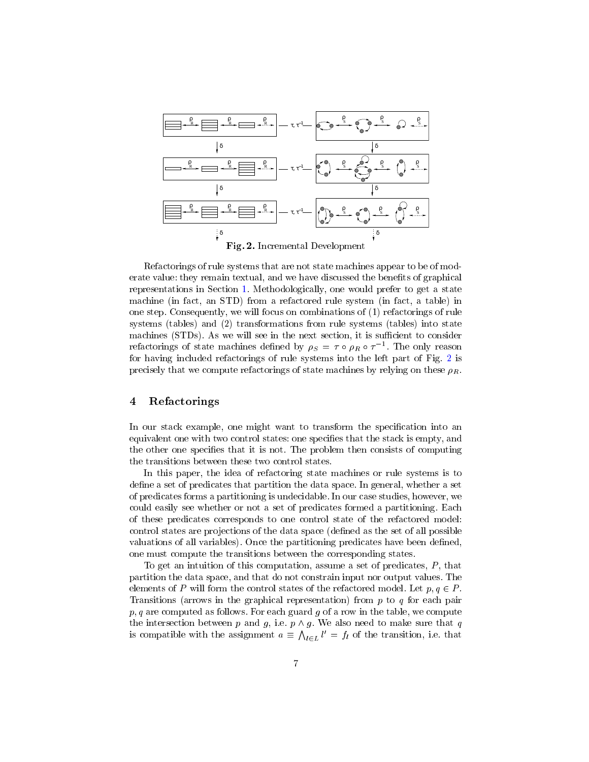

<span id="page-6-1"></span>Fig. 2. Incremental Development

Refactorings of rule systems that are not state machines appear to be of moderate value: they remain textual, and we have discussed the benefits of graphical representations in Section [1.](#page-0-0) Methodologically, one would prefer to get a state machine (in fact, an STD) from a refactored rule system (in fact, a table) in one step. Consequently, we will focus on combinations of (1) refactorings of rule systems (tables) and (2) transformations from rule systems (tables) into state machines (STDs). As we will see in the next section, it is sufficient to consider refactorings of state machines defined by  $\rho_S = \tau \circ \rho_R \circ \tau^{-1}$ . The only reason for having included refactorings of rule systems into the left part of Fig. [2](#page-6-1) is precisely that we compute refactorings of state machines by relying on these  $\rho_R$ .

# <span id="page-6-0"></span>4 Refactorings

In our stack example, one might want to transform the specification into an equivalent one with two control states: one species that the stack is empty, and the other one specifies that it is not. The problem then consists of computing the transitions between these two control states.

In this paper, the idea of refactoring state machines or rule systems is to define a set of predicates that partition the data space. In general, whether a set of predicates forms a partitioning is undecidable. In our case studies, however, we could easily see whether or not a set of predicates formed a partitioning. Each of these predicates corresponds to one control state of the refactored model: control states are projections of the data space (dened as the set of all possible valuations of all variables). Once the partitioning predicates have been defined, one must compute the transitions between the corresponding states.

To get an intuition of this computation, assume a set of predicates, P, that partition the data space, and that do not constrain input nor output values. The elements of P will form the control states of the refactored model. Let  $p, q \in P$ . Transitions (arrows in the graphical representation) from  $p$  to  $q$  for each pair  $p, q$  are computed as follows. For each guard g of a row in the table, we compute the intersection between p and g, i.e.  $p \wedge g$ . We also need to make sure that q is compatible with the assignment  $a \equiv \bigwedge_{l \in L} l' = f_l$  of the transition, i.e. that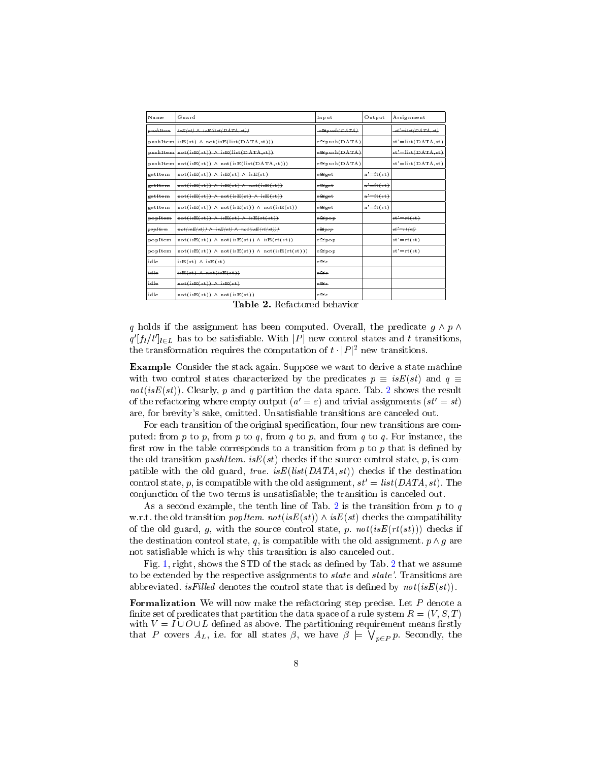| Name          | Guard                                                                         | Input                    | Output        | Assignment                |
|---------------|-------------------------------------------------------------------------------|--------------------------|---------------|---------------------------|
| $_{pushItem}$ | $isE(st)$ $\land$ $isE(list(DATA,st))$                                        | -e≅ push (DATA-)         |               | $st' = list(DATA.st)$     |
|               | pushItem $\vert i s E(st) \wedge \text{not}(i s E(i s t (DATA, st))) \rangle$ | e≅push(DATA)             |               | $st'$ = list $(DATA, st)$ |
|               | $p$ ushItem $ not(isE(st)) - A$ is $E(list(DATA,st))$                         | $e \cong p$ ush $(DATA)$ |               | $st = list(DATA.st)$      |
|               | pushItem $ not(isE(st)) \wedge not(isE(list(DATA,st)))$                       | $e \cong push(DATA)$     |               | $st' = list(DATA.st)$     |
| eetItem       | $not (is E(st)) - A.is E(st) - A.is E(st)$                                    | e≅get                    | $a = ft(a)$   |                           |
| retHem        | $not(isE(st))\rightarrow isE(st)\rightarrow not(isE(st))$                     | $e \triangleq get$       | $a = ft(st)$  |                           |
| getHem        | $not(i \in E(st))$ $\land$ $not(i \in E(st)$ $\land$ $ieE(st))$               | $e \cong$ get            | $a = ft(st)$  |                           |
| getItem       | $not(isE(st)) \wedge not(isE(st)) \wedge not(isE(st))$                        | e≙get                    | $a' = ft(st)$ |                           |
| popItem       | $not (is E(st)) - A.is E(st) - A.is E(rt(st))$                                | е≙рор                    |               | $st = rt(st)$             |
| popItem       | $not (isE(st)) \wedge isE(st) \wedge not (isE(rt))$                           | $e \cong p \circ p$      |               | $st = rt(st)$             |
| popItem       | $not(isE(st)) \wedge not(isE(st)) \wedge isE(rt(st))$                         | e≅pop                    |               | $st' = rt(st)$            |
| popItem       | $not(isE(st)) \wedge not(isE(st)) \wedge not(isE(rt)))$                       | $e \cong p$ op           |               | $st' = rt(st)$            |
| idle          | $isE(st) \wedge isE(st)$                                                      | $e \cong \varepsilon$    |               |                           |
| idle          | $i$ s $E(st)$ $A$ not $(i$ s $E(st)$ )                                        | حصه                      |               |                           |
| idle          | $not(i \in E(st))$ $\rightarrow$ $isE(st)$                                    | جعجه                     |               |                           |
| idle          | $not(isE(st)) \wedge not(isE(st))$                                            | $e \cong \varepsilon$    |               |                           |

<span id="page-7-0"></span>

| <b>Table 2.</b> Refactored behavior |  |
|-------------------------------------|--|
|-------------------------------------|--|

q holds if the assignment has been computed. Overall, the predicate  $g \wedge p \wedge p$  $q'[f_l/l']_{l\in L}$  has to be satisfiable. With |P| new control states and t transitions, the transformation requires the computation of  $t \, |P|^2$  new transitions.

Example Consider the stack again. Suppose we want to derive a state machine with two control states characterized by the predicates  $p \equiv i sE(st)$  and  $q \equiv$ not(is $E(st)$ ). Clearly, p and q partition the data space. Tab. [2](#page-7-0) shows the result of the refactoring where empty output  $(a' = \varepsilon)$  and trivial assignments  $(st' = st)$ are, for brevity's sake, omitted. Unsatisfiable transitions are canceled out.

For each transition of the original specification, four new transitions are computed: from p to p, from p to q, from q to p, and from q to q. For instance, the first row in the table corresponds to a transition from  $p$  to  $p$  that is defined by the old transition *pushItem.* is  $E(st)$  checks if the source control state, p, is compatible with the old guard, true.  $isE(list(DATA, st))$  checks if the destination control state, p, is compatible with the old assignment,  $st' = list(DATA, st)$ . The conjunction of the two terms is unsatisfiable; the transition is canceled out.

As a second example, the tenth line of Tab. [2](#page-7-0) is the transition from  $p$  to  $q$ w.r.t. the old transition popItem. not (is  $E(st)$ )  $\wedge$  is  $E(st)$  checks the compatibility of the old guard, g, with the source control state, p. not (is  $E(rt(st))$ ) checks if the destination control state, q, is compatible with the old assignment.  $p \wedge q$  are not satisfiable which is why this transition is also canceled out.

Fig. [1,](#page-4-1) right, shows the STD of the stack as dened by Tab. [2](#page-7-0) that we assume to be extended by the respective assignments to *state* and *state'*. Transitions are abbreviated. is Filled denotes the control state that is defined by  $not(isE(st))$ .

**Formalization** We will now make the refactoring step precise. Let  $P$  denote a finite set of predicates that partition the data space of a rule system  $R = (V, S, T)$ with  $V = I \cup O \cup L$  defined as above. The partitioning requirement means firstly that P covers  $A_L$ , i.e. for all states  $\beta$ , we have  $\beta \models \bigvee_{p \in P} p$ . Secondly, the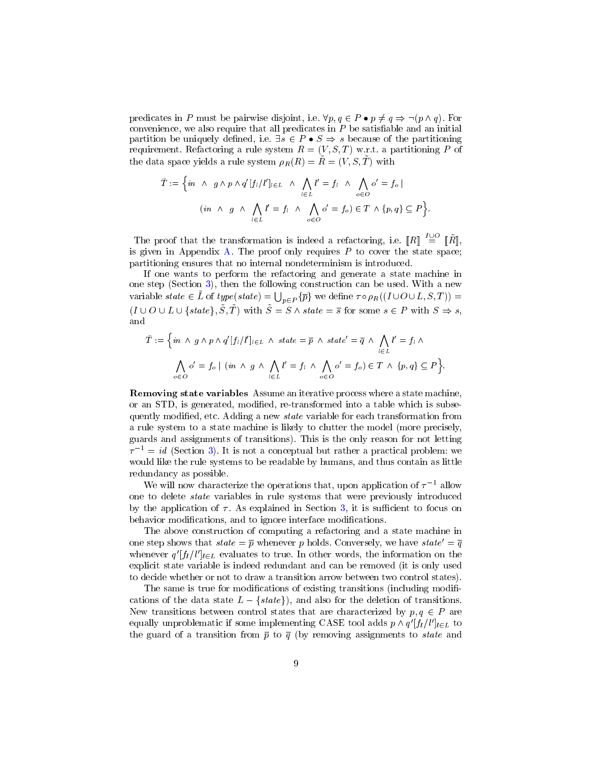predicates in P must be pairwise disjoint, i.e.  $\forall p, q \in P \bullet p \neq q \Rightarrow \neg(p \land q)$ . For convenience, we also require that all predicates in  $P$  be satisfiable and an initial partition be uniquely defined, i.e.  $\exists s \in P \bullet S \Rightarrow s$  because of the partitioning requirement. Refactoring a rule system  $R = (V, S, T)$  w.r.t. a partitioning P of the data space yields a rule system  $\rho_R(R) = \tilde{R} = (V, S, \tilde{T})$  with

$$
\tilde{T} := \Big\{ in \ \land \ g \land p \land q'[f_l/l']_{l \in L} \ \land \ \bigwedge_{l \in L} l' = f_l \ \land \ \bigwedge_{o \in O} o' = f_o \mid
$$

$$
(in \ \land \ g \ \land \ \bigwedge_{l \in L} l' = f_l \ \land \ \bigwedge_{o \in O} o' = f_o) \in T \ \land \{p, q\} \subseteq P \Big\}.
$$

The proof that the transformation is indeed a refactoring, i.e.  $||R|| \stackrel{I\cup O}{=} ||\tilde{R}||$ . is given in Appendix [A.](#page-14-0) The proof only requires  $P$  to cover the state space; partitioning ensures that no internal nondeterminism is introduced.

If one wants to perform the refactoring and generate a state machine in one step (Section [3\)](#page-4-0), then the following construction can be used. With a new variable state  $\in \tilde{L}$  of type(state) =  $\bigcup_{p\in P}\{\overline{p}\}\$ we define  $\tau \circ \rho_R((I\cup O\cup L, S, T))$  =  $(I \cup O \cup L \cup \{state\}, \tilde{S}, \tilde{T})$  with  $\tilde{S} = S \wedge state = \overline{s}$  for some  $s \in P$  with  $S \Rightarrow s$ , and

$$
\tilde{T} := \Big\{ in \ \land \ g \land p \land q'[f_l/l']_{l \in L} \ \land \ state = \overline{p} \ \land \ state' = \overline{q} \ \land \ \bigwedge_{l \in L} l' = f_l \ \land
$$

$$
\bigwedge_{o \in O} o' = f_o \mid (in \ \land \ g \ \land \ \bigwedge_{l \in L} l' = f_l \ \land \ \bigwedge_{o \in O} o' = f_o) \in T \ \land \ \{p, q\} \subseteq P \Big\}.
$$

Removing state variables Assume an iterative process where a state machine, or an STD, is generated, modified, re-transformed into a table which is subsequently modied, etc. Adding a new state variable for each transformation from a rule system to a state machine is likely to clutter the model (more precisely, guards and assignments of transitions). This is the only reason for not letting  $\tau^{-1} = id$  (Section [3\)](#page-4-0). It is not a conceptual but rather a practical problem: we would like the rule systems to be readable by humans, and thus contain as little redundancy as possible.

We will now characterize the operations that, upon application of  $\tau^{-1}$  allow one to delete state variables in rule systems that were previously introduced by the application of  $\tau$ . As explained in Section [3,](#page-4-0) it is sufficient to focus on behavior modifications, and to ignore interface modifications.

The above construction of computing a refactoring and a state machine in one step shows that  $state = \overline{p}$  whenever p holds. Conversely, we have  $state' = \overline{q}$ whenever  $q'[f_l/l']_{l\in L}$  evaluates to true. In other words, the information on the explicit state variable is indeed redundant and can be removed (it is only used to decide whether or not to draw a transition arrow between two control states).

The same is true for modifications of existing transitions (including modifications of the data state  $L - {state}$ , and also for the deletion of transitions. New transitions between control states that are characterized by  $p, q \in P$  are equally unproblematic if some implementing CASE tool adds  $p \wedge q^{\prime} [f_l / l^{\prime}]_{l \in L}$  to the guard of a transition from  $\bar{p}$  to  $\bar{q}$  (by removing assignments to *state* and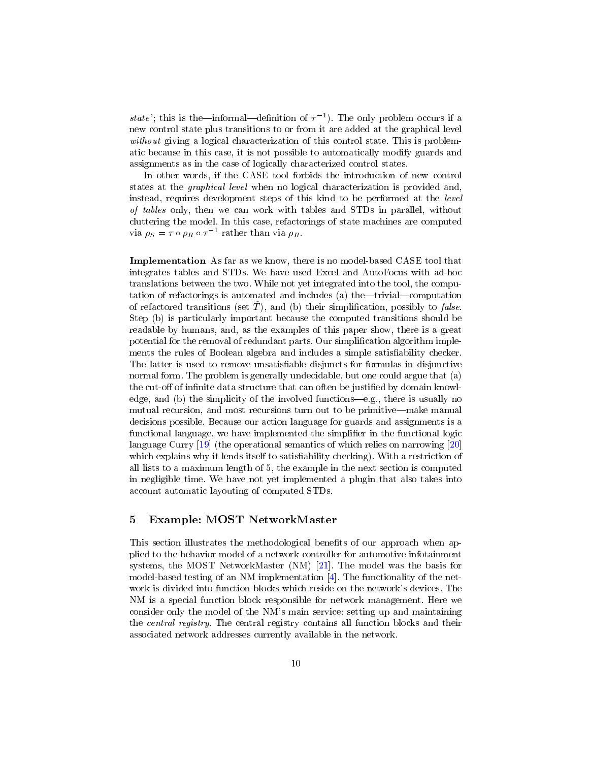state'; this is the—informal—definition of  $\tau^{-1}$ ). The only problem occurs if a new control state plus transitions to or from it are added at the graphical level without giving a logical characterization of this control state. This is problematic because in this case, it is not possible to automatically modify guards and assignments as in the case of logically characterized control states.

In other words, if the CASE tool forbids the introduction of new control states at the graphical level when no logical characterization is provided and, instead, requires development steps of this kind to be performed at the level of tables only, then we can work with tables and STDs in parallel, without cluttering the model. In this case, refactorings of state machines are computed via  $\rho_S = \tau \circ \rho_R \circ \tau^{-1}$  rather than via  $\rho_R$ .

Implementation As far as we know, there is no model-based CASE tool that integrates tables and STDs. We have used Excel and AutoFocus with ad-hoc translations between the two. While not yet integrated into the tool, the computation of refactorings is automated and includes (a) the-trivial-computation of refactored transitions (set  $\hat{T}$ ), and (b) their simplification, possibly to *false*. Step (b) is particularly important because the computed transitions should be readable by humans, and, as the examples of this paper show, there is a great potential for the removal of redundant parts. Our simplication algorithm implements the rules of Boolean algebra and includes a simple satisfiability checker. The latter is used to remove unsatisfiable disjuncts for formulas in disjunctive normal form. The problem is generally undecidable, but one could argue that (a) the cut-off of infinite data structure that can often be justified by domain knowledge, and (b) the simplicity of the involved functions—e.g., there is usually no mutual recursion, and most recursions turn out to be primitive—make manual decisions possible. Because our action language for guards and assignments is a functional language, we have implemented the simplifier in the functional logic language Curry [\[19\]](#page-13-18) (the operational semantics of which relies on narrowing [\[20\]](#page-13-19) which explains why it lends itself to satisfiability checking). With a restriction of all lists to a maximum length of 5, the example in the next section is computed in negligible time. We have not yet implemented a plugin that also takes into account automatic layouting of computed STDs.

#### <span id="page-9-0"></span>5 Example: MOST NetworkMaster

This section illustrates the methodological benefits of our approach when applied to the behavior model of a network controller for automotive infotainment systems, the MOST NetworkMaster (NM) [\[21\]](#page-13-20). The model was the basis for model-based testing of an NM implementation [\[4\]](#page-13-3). The functionality of the network is divided into function blocks which reside on the network's devices. The NM is a special function block responsible for network management. Here we consider only the model of the NM's main service: setting up and maintaining the central registry. The central registry contains all function blocks and their associated network addresses currently available in the network.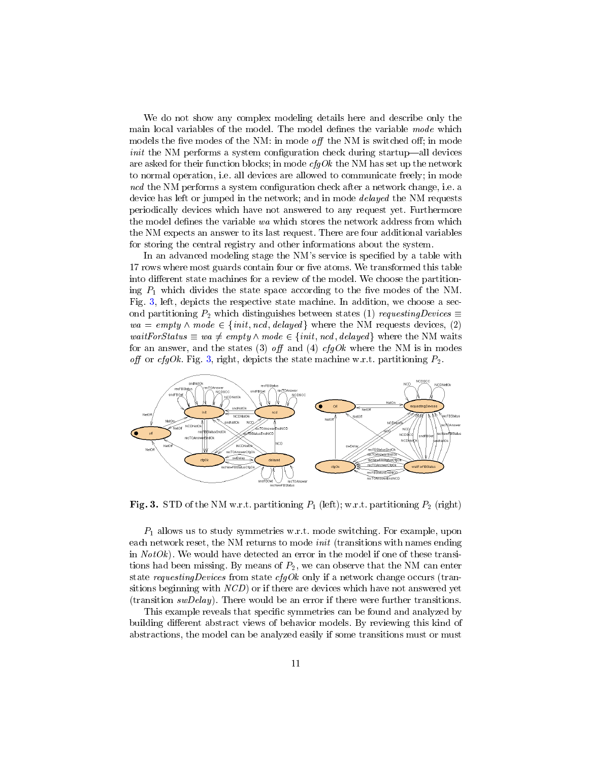We do not show any complex modeling details here and describe only the main local variables of the model. The model defines the variable mode which models the five modes of the NM: in mode off the NM is switched off; in mode  $init$  the NM performs a system configuration check during startup—all devices are asked for their function blocks; in mode  $cfgOk$  the NM has set up the network to normal operation, i.e. all devices are allowed to communicate freely; in mode ned the NM performs a system configuration check after a network change, i.e. a device has left or jumped in the network; and in mode *delayed* the NM requests periodically devices which have not answered to any request yet. Furthermore the model defines the variable  $wa$  which stores the network address from which the NM expects an answer to its last request. There are four additional variables for storing the central registry and other informations about the system.

In an advanced modeling stage the NM's service is specied by a table with 17 rows where most guards contain four or five atoms. We transformed this table into different state machines for a review of the model. We choose the partitioning  $P_1$  which divides the state space according to the five modes of the NM. Fig. [3,](#page-10-0) left, depicts the respective state machine. In addition, we choose a second partitioning  $P_2$  which distinguishes between states (1) requesting Devices  $\equiv$  $wa = empty \wedge mode \in \{init, ncd, delayed\}$  where the NM requests devices, (2) waitForStatus  $\equiv wa \neq empty \wedge mode \in \{init, ncd, delayed\}$  where the NM waits for an answer, and the states (3) off and (4) cfgOk where the NM is in modes off or cfgOk. Fig. [3,](#page-10-0) right, depicts the state machine w.r.t. partitioning  $P_2$ .



<span id="page-10-0"></span>**Fig. 3.** STD of the NM w.r.t. partitioning  $P_1$  (left); w.r.t. partitioning  $P_2$  (right)

 $P_1$  allows us to study symmetries w.r.t. mode switching. For example, upon each network reset, the NM returns to mode init (transitions with names ending in  $NotOk$ ). We would have detected an error in the model if one of these transitions had been missing. By means of  $P_2$ , we can observe that the NM can enter state requesting Devices from state cfgOk only if a network change occurs (transitions beginning with  $NCD$ ) or if there are devices which have not answered yet (transition  $swDelay$ ). There would be an error if there were further transitions.

This example reveals that specic symmetries can be found and analyzed by building different abstract views of behavior models. By reviewing this kind of abstractions, the model can be analyzed easily if some transitions must or must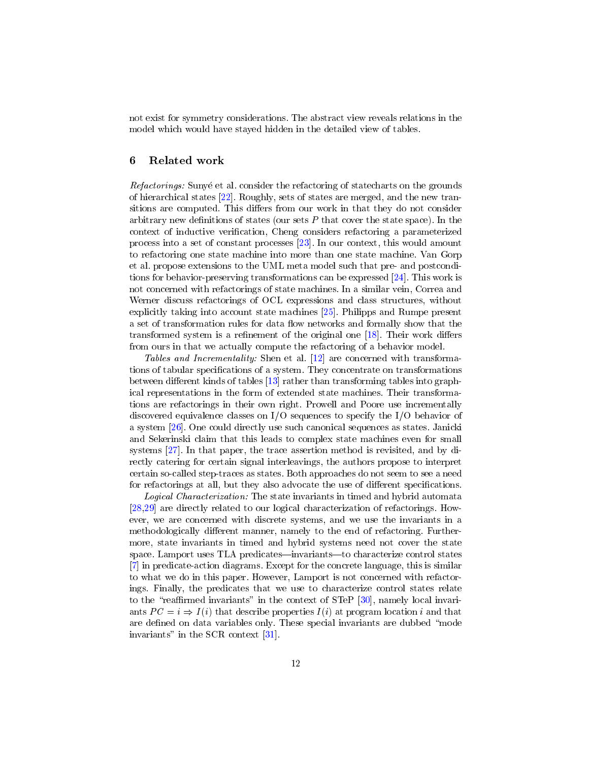not exist for symmetry considerations. The abstract view reveals relations in the model which would have stayed hidden in the detailed view of tables.

# <span id="page-11-0"></span>6 Related work

Refactorings: Sunyé et al. consider the refactoring of statecharts on the grounds of hierarchical states [\[22\]](#page-13-21). Roughly, sets of states are merged, and the new transitions are computed. This differs from our work in that they do not consider arbitrary new definitions of states (our sets  $P$  that cover the state space). In the context of inductive verification, Cheng considers refactoring a parameterized process into a set of constant processes [\[23\]](#page-13-22). In our context, this would amount to refactoring one state machine into more than one state machine. Van Gorp et al. propose extensions to the UML meta model such that pre- and postconditions for behavior-preserving transformations can be expressed [\[24\]](#page-14-1). This work is not concerned with refactorings of state machines. In a similar vein, Correa and Werner discuss refactorings of OCL expressions and class structures, without explicitly taking into account state machines [\[25\]](#page-14-2). Philipps and Rumpe present a set of transformation rules for data flow networks and formally show that the transformed system is a refinement of the original one [\[18\]](#page-13-17). Their work differs from ours in that we actually compute the refactoring of a behavior model.

Tables and Incrementality: Shen et al. [\[12\]](#page-13-11) are concerned with transformations of tabular specifications of a system. They concentrate on transformations between different kinds of tables  $[13]$  rather than transforming tables into graphical representations in the form of extended state machines. Their transformations are refactorings in their own right. Prowell and Poore use incrementally discovered equivalence classes on I/O sequences to specify the I/O behavior of a system [\[26\]](#page-14-3). One could directly use such canonical sequences as states. Janicki and Sekerinski claim that this leads to complex state machines even for small systems [\[27\]](#page-14-4). In that paper, the trace assertion method is revisited, and by directly catering for certain signal interleavings, the authors propose to interpret certain so-called step-traces as states. Both approaches do not seem to see a need for refactorings at all, but they also advocate the use of different specifications.

Logical Characterization: The state invariants in timed and hybrid automata [\[28](#page-14-5)[,29\]](#page-14-6) are directly related to our logical characterization of refactorings. However, we are concerned with discrete systems, and we use the invariants in a methodologically different manner, namely to the end of refactoring. Furthermore, state invariants in timed and hybrid systems need not cover the state space. Lamport uses TLA predicates—invariants—to characterize control states [\[7\]](#page-13-6) in predicate-action diagrams. Except for the concrete language, this is similar to what we do in this paper. However, Lamport is not concerned with refactorings. Finally, the predicates that we use to characterize control states relate to the "reaffirmed invariants" in the context of STeP  $[30]$ , namely local invariants  $PC = i \Rightarrow I(i)$  that describe properties  $I(i)$  at program location i and that are defined on data variables only. These special invariants are dubbed "mode invariants" in the SCR context [\[31\]](#page-14-8).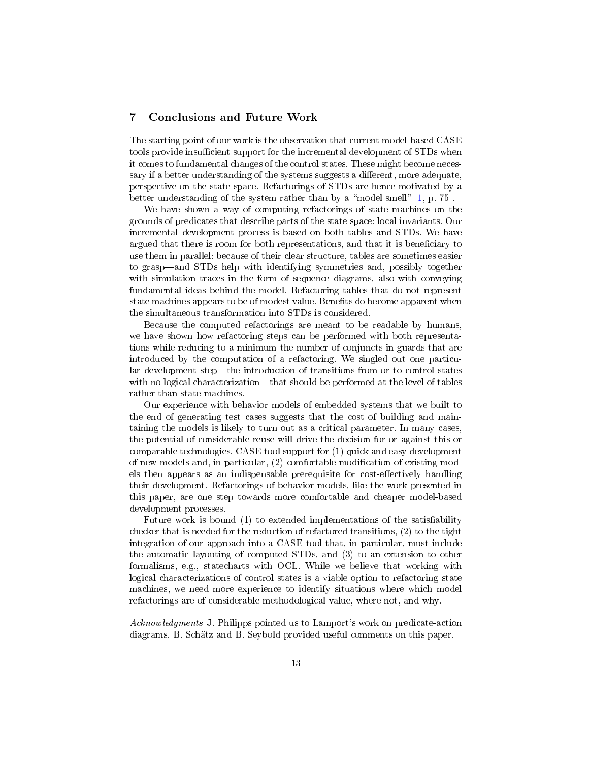# <span id="page-12-0"></span>7 Conclusions and Future Work

The starting point of our work is the observation that current model-based CASE tools provide insufficient support for the incremental development of STDs when it comes to fundamental changes of the control states. These might become necessary if a better understanding of the systems suggests a different, more adequate, perspective on the state space. Refactorings of STDs are hence motivated by a better understanding of the system rather than by a "model smell"  $[1, p. 75]$  $[1, p. 75]$ .

We have shown a way of computing refactorings of state machines on the grounds of predicates that describe parts of the state space: local invariants. Our incremental development process is based on both tables and STDs. We have argued that there is room for both representations, and that it is beneficiary to use them in parallel: because of their clear structure, tables are sometimes easier to grasp—and STDs help with identifying symmetries and, possibly together with simulation traces in the form of sequence diagrams, also with conveying fundamental ideas behind the model. Refactoring tables that do not represent state machines appears to be of modest value. Benefits do become apparent when the simultaneous transformation into STDs is considered.

Because the computed refactorings are meant to be readable by humans, we have shown how refactoring steps can be performed with both representations while reducing to a minimum the number of conjuncts in guards that are introduced by the computation of a refactoring. We singled out one particular development step—the introduction of transitions from or to control states with no logical characterization—that should be performed at the level of tables rather than state machines.

Our experience with behavior models of embedded systems that we built to the end of generating test cases suggests that the cost of building and maintaining the models is likely to turn out as a critical parameter. In many cases, the potential of considerable reuse will drive the decision for or against this or comparable technologies. CASE tool support for (1) quick and easy development of new models and, in particular, (2) comfortable modication of existing models then appears as an indispensable prerequisite for cost-effectively handling their development. Refactorings of behavior models, like the work presented in this paper, are one step towards more comfortable and cheaper model-based development processes.

Future work is bound  $(1)$  to extended implementations of the satisfiability checker that is needed for the reduction of refactored transitions, (2) to the tight integration of our approach into a CASE tool that, in particular, must include the automatic layouting of computed STDs, and (3) to an extension to other formalisms, e.g., statecharts with OCL. While we believe that working with logical characterizations of control states is a viable option to refactoring state machines, we need more experience to identify situations where which model refactorings are of considerable methodological value, where not, and why.

Acknowledgments J. Philipps pointed us to Lamport's work on predicate-action diagrams. B. Schatz and B. Seybold provided useful comments on this paper.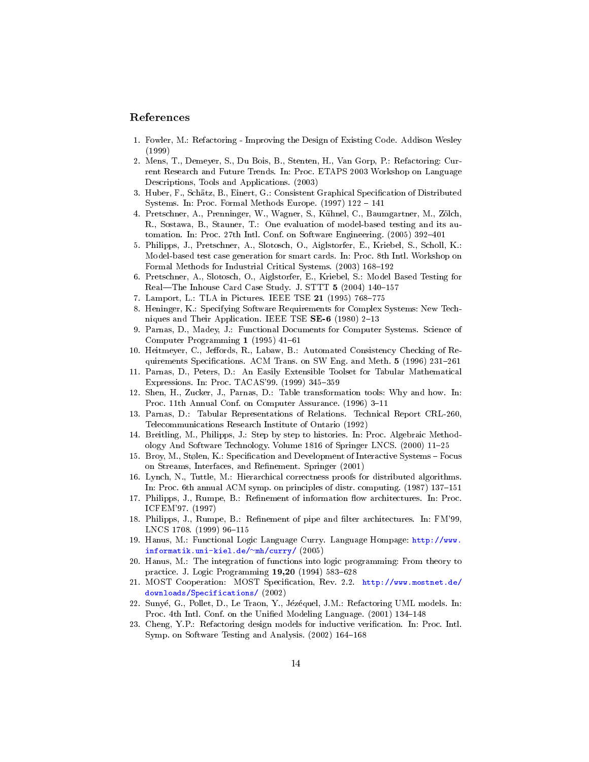# References

- <span id="page-13-0"></span>1. Fowler, M.: Refactoring - Improving the Design of Existing Code. Addison Wesley (1999)
- <span id="page-13-1"></span>2. Mens, T., Demeyer, S., Du Bois, B., Stenten, H., Van Gorp, P.: Refactoring: Current Research and Future Trends. In: Proc. ETAPS 2003 Workshop on Language Descriptions, Tools and Applications. (2003)
- <span id="page-13-2"></span>3. Huber, F., Schätz, B., Einert, G.: Consistent Graphical Specification of Distributed Systems. In: Proc. Formal Methods Europe.  $(1997)$  122 - 141
- <span id="page-13-3"></span>4. Pretschner, A., Prenninger, W., Wagner, S., Kuhnel, C., Baumgartner, M., Zolch, R., Sostawa, B., Stauner, T.: One evaluation of model-based testing and its automation. In: Proc. 27th Intl. Conf. on Software Engineering.  $(2005)$  392-401
- <span id="page-13-4"></span>5. Philipps, J., Pretschner, A., Slotosch, O., Aiglstorfer, E., Kriebel, S., Scholl, K.: Model-based test case generation for smart cards. In: Proc. 8th Intl. Workshop on Formal Methods for Industrial Critical Systems. (2003) 168-192
- <span id="page-13-5"></span>6. Pretschner, A., Slotosch, O., Aiglstorfer, E., Kriebel, S.: Model Based Testing for Real—The Inhouse Card Case Study. J. STTT 5 (2004) 140-157
- <span id="page-13-6"></span>7. Lamport, L.: TLA in Pictures. IEEE TSE 21 (1995) 768-775
- <span id="page-13-7"></span>8. Heninger, K.: Specifying Software Requirements for Complex Systems: New Techniques and Their Application. IEEE TSE  $SE-6$  (1980) 2-13
- <span id="page-13-8"></span>9. Parnas, D., Madey, J.: Functional Documents for Computer Systems. Science of Computer Programming 1 (1995)  $41-61$
- <span id="page-13-9"></span>10. Heitmeyer, C., Jeffords, R., Labaw, B.: Automated Consistency Checking of Requirements Specifications. ACM Trans. on SW Eng. and Meth. 5 (1996) 231-261
- <span id="page-13-10"></span>11. Parnas, D., Peters, D.: An Easily Extensible Toolset for Tabular Mathematical Expressions. In: Proc. TACAS'99. (1999) 345-359
- <span id="page-13-11"></span>12. Shen, H., Zucker, J., Parnas, D.: Table transformation tools: Why and how. In: Proc. 11th Annual Conf. on Computer Assurance. (1996) 3-11
- <span id="page-13-12"></span>13. Parnas, D.: Tabular Representations of Relations. Technical Report CRL-260, Telecommunications Research Institute of Ontario (1992)
- <span id="page-13-13"></span>14. Breitling, M., Philipps, J.: Step by step to histories. In: Proc. Algebraic Methodology And Software Technology. Volume 1816 of Springer LNCS. (2000) 11-25
- <span id="page-13-14"></span>15. Broy, M., Stølen, K.: Specification and Development of Interactive Systems – Focus on Streams, Interfaces, and Refinement. Springer (2001)
- <span id="page-13-15"></span>16. Lynch, N., Tuttle, M.: Hierarchical correctness proofs for distributed algorithms. In: Proc. 6th annual ACM symp. on principles of distr. computing.  $(1987)$  137-151
- <span id="page-13-16"></span>17. Philipps, J., Rumpe, B.: Refinement of information flow architectures. In: Proc. ICFEM'97. (1997)
- <span id="page-13-17"></span>18. Philipps, J., Rumpe, B.: Refinement of pipe and filter architectures. In: FM'99. LNCS 1708. (1999) 96-115
- <span id="page-13-18"></span>19. Hanus, M.: Functional Logic Language Curry. Language Hompage: [http://www.](http://www.informatik.uni-kiel.de/~mh/curry/) [informatik.uni-kiel.de/](http://www.informatik.uni-kiel.de/~mh/curry/) $\sim$ mh/curry/ (2005)
- <span id="page-13-19"></span>20. Hanus, M.: The integration of functions into logic programming: From theory to practice. J. Logic Programming  $19,20$  (1994) 583-628
- <span id="page-13-20"></span>21. MOST Cooperation: MOST Specication, Rev. 2.2. [http://www.mostnet.de/](http://www.mostnet.de/downloads/Specifications/) [downloads/Specifications/](http://www.mostnet.de/downloads/Specifications/) (2002)
- <span id="page-13-21"></span>22. Sunye, G., Pollet, D., Le Traon, Y., Jezequel, J.M.: Refactoring UML models. In: Proc. 4th Intl. Conf. on the Unified Modeling Language. (2001) 134-148
- <span id="page-13-22"></span>23. Cheng, Y.P.: Refactoring design models for inductive verification. In: Proc. Intl. Symp. on Software Testing and Analysis. (2002) 164-168